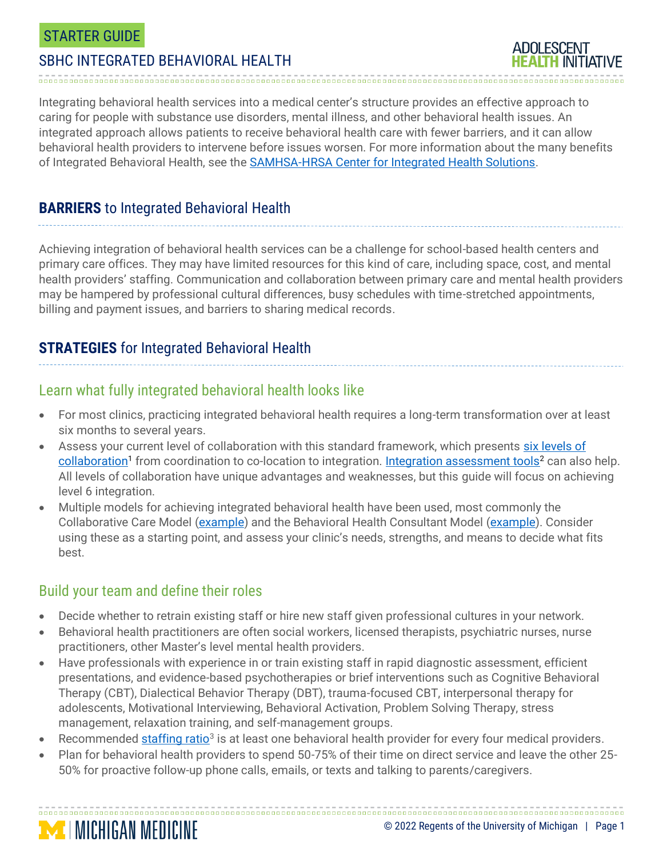#### STARTER GUIDE

#### SBHC INTEGRATED BEHAVIORAL HEALTH

Integrating behavioral health services into a medical center's structure provides an effective approach to caring for people with substance use disorders, mental illness, and other behavioral health issues. An integrated approach allows patients to receive behavioral health care with fewer barriers, and it can allow behavioral health providers to intervene before issues worsen. For more information about the many benefits of Integrated Behavioral Health, see the [SAMHSA-HRSA Center for Integrated Health Solutions.](https://www.integration.samhsa.gov/about-us/what-is-integrated-care)

# **BARRIERS** to Integrated Behavioral Health

Achieving integration of behavioral health services can be a challenge for school-based health centers and primary care offices. They may have limited resources for this kind of care, including space, cost, and mental health providers' staffing. Communication and collaboration between primary care and mental health providers may be hampered by professional cultural differences, busy schedules with time-stretched appointments, billing and payment issues, and barriers to sharing medical records.

# **STRATEGIES** for Integrated Behavioral Health

#### Learn what fully integrated behavioral health looks like

- For most clinics, practicing integrated behavioral health requires a long-term transformation over at least six months to several years.
- Assess your current level of collaboration with this standard framework, which presents six levels of [collaboration](https://www.thenationalcouncil.org/wp-content/uploads/2020/01/CIHS_Framework_Final_charts.pdf?daf=375ateTbd56)<sup>1</sup> from coordination to co-location to integration. <u>Integration assessment tools</u><sup>2</sup> can also help. All levels of collaboration have unique advantages and weaknesses, but this guide will focus on achieving level 6 integration.
- Multiple models for achieving integrated behavioral health have been used, most commonly the Collaborative Care Model [\(example\)](https://www.cfha.net/page/PCBHFAQs#:~:text=The%20Primary%20Care%20Behavioral%20Health%20Consultation%20model%20(PCBH)%20is%20a,health%20within%20the%20general%20population.) and the Behavioral Health Consultant Model (example). Consider using these as a starting point, and assess your clinic's needs, strengths, and means to decide what fits best.

#### Build your team and define their roles

**MINICHIGAN MEDICINE** 

- Decide whether to retrain existing staff or hire new staff given professional cultures in your network.
- Behavioral health practitioners are often social workers, licensed therapists, psychiatric nurses, nurse practitioners, other Master's level mental health providers.
- Have professionals with experience in or train existing staff in rapid diagnostic assessment, efficient presentations, and evidence-based psychotherapies or brief interventions such as Cognitive Behavioral Therapy (CBT), Dialectical Behavior Therapy (DBT), trauma-focused CBT, interpersonal therapy for adolescents, Motivational Interviewing, Behavioral Activation, Problem Solving Therapy, stress management, relaxation training, and self-management groups.
- Recommended [staffing ratio](https://icer-review.org/wp-content/uploads/2016/01/New-England-Action-Guide-FINAL-FOR-POSTING.pdf)<sup>3</sup> is at least one behavioral health provider for every four medical providers.
- Plan for behavioral health providers to spend 50-75% of their time on direct service and leave the other 25- 50% for proactive follow-up phone calls, emails, or texts and talking to parents/caregivers.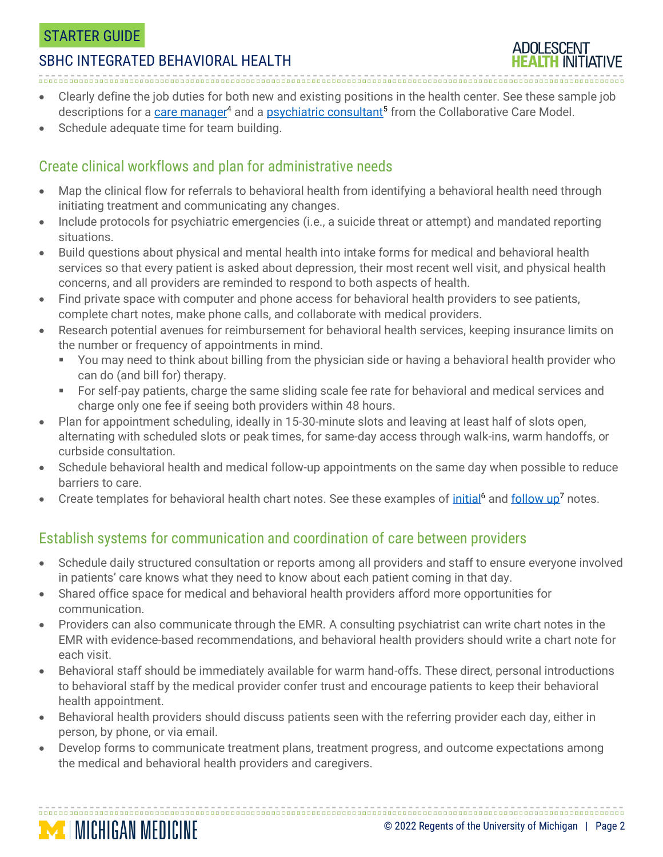#### STARTER GUIDE

#### SBHC INTEGRATED BEHAVIORAL HEALTH

- 
- Clearly define the job duties for both new and existing positions in the health center. See these sample job descriptions for a [care manager](https://aims.uw.edu/resource-library/care-manager-role-and-job-description)<sup>4</sup> and a [psychiatric consultant](https://aims.uw.edu/resource-library/psychiatric-consultant-role-and-job-description)<sup>5</sup> from the Collaborative Care Model.
- Schedule adequate time for team building.

**MICHIGAN MEDICINE** 

# Create clinical workflows and plan for administrative needs

- Map the clinical flow for referrals to behavioral health from identifying a behavioral health need through initiating treatment and communicating any changes.
- Include protocols for psychiatric emergencies (i.e., a suicide threat or attempt) and mandated reporting situations.
- Build questions about physical and mental health into intake forms for medical and behavioral health services so that every patient is asked about depression, their most recent well visit, and physical health concerns, and all providers are reminded to respond to both aspects of health.
- Find private space with computer and phone access for behavioral health providers to see patients, complete chart notes, make phone calls, and collaborate with medical providers.
- Research potential avenues for reimbursement for behavioral health services, keeping insurance limits on the number or frequency of appointments in mind.
	- You may need to think about billing from the physician side or having a behavioral health provider who can do (and bill for) therapy.
	- **•** For self-pay patients, charge the same sliding scale fee rate for behavioral and medical services and charge only one fee if seeing both providers within 48 hours.
- Plan for appointment scheduling, ideally in 15-30-minute slots and leaving at least half of slots open, alternating with scheduled slots or peak times, for same-day access through walk-ins, warm handoffs, or curbside consultation.
- Schedule behavioral health and medical follow-up appointments on the same day when possible to reduce barriers to care.
- Create templates for behavioral health chart notes. See these examples of [initial](http://www.mirecc.va.gov/cih-visn2/Documents/Clinical/CCC_Initial_Consult_Note_Template.pdf)<sup>6</sup> and [follow up](http://www.mirecc.va.gov/cih-visn2/Documents/Clinical/CCC_Follow-up_Appointment_Note_Template.pdf)<sup>7</sup> notes.

# Establish systems for communication and coordination of care between providers

- Schedule daily structured consultation or reports among all providers and staff to ensure everyone involved in patients' care knows what they need to know about each patient coming in that day.
- Shared office space for medical and behavioral health providers afford more opportunities for communication.
- Providers can also communicate through the EMR. A consulting psychiatrist can write chart notes in the EMR with evidence-based recommendations, and behavioral health providers should write a chart note for each visit.
- Behavioral staff should be immediately available for warm hand-offs. These direct, personal introductions to behavioral staff by the medical provider confer trust and encourage patients to keep their behavioral health appointment.
- Behavioral health providers should discuss patients seen with the referring provider each day, either in person, by phone, or via email.
- Develop forms to communicate treatment plans, treatment progress, and outcome expectations among the medical and behavioral health providers and caregivers.

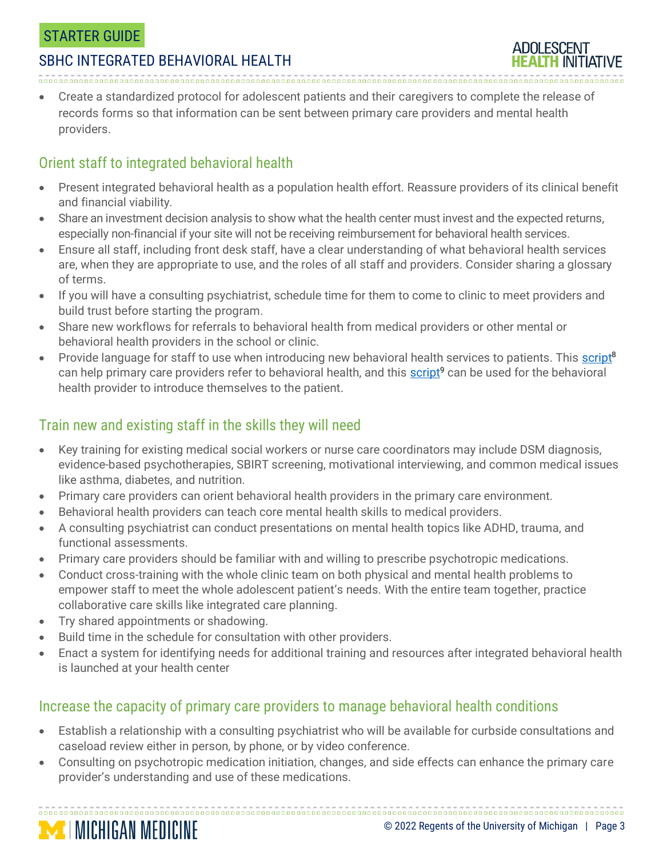# SBHC INTEGRATED BEHAVIORAL HEALTH

- **ADOLESCENT**
- Create a standardized protocol for adolescent patients and their caregivers to complete the release of records forms so that information can be sent between primary care providers and mental health providers.

# Orient staff to integrated behavioral health

- Present integrated behavioral health as a population health effort. Reassure providers of its clinical benefit and financial viability.
- Share an investment decision analysis to show what the health center must invest and the expected returns, especially non-financial if your site will not be receiving reimbursement for behavioral health services.
- Ensure all staff, including front desk staff, have a clear understanding of what behavioral health services are, when they are appropriate to use, and the roles of all staff and providers. Consider sharing a glossary of terms.
- If you will have a consulting psychiatrist, schedule time for them to come to clinic to meet providers and build trust before starting the program.
- Share new workflows for referrals to behavioral health from medical providers or other mental or behavioral health providers in the school or clinic.
- Provide language for staff to use when introducing new behavioral health services to patients. This [script](http://www.mirecc.va.gov/cih-visn2/Documents/Clinical/Referral_Tips_for_PCPs.pdf)<sup>8</sup> can help primary care providers refer to behavioral health, and this [script](http://www.mirecc.va.gov/cih-visn2/Documents/Clinical/BHP_Intro_Script.pdf)<sup>9</sup> can be used for the behavioral health provider to introduce themselves to the patient.

# Train new and existing staff in the skills they will need

- Key training for existing medical social workers or nurse care coordinators may include DSM diagnosis, evidence-based psychotherapies, SBIRT screening, motivational interviewing, and common medical issues like asthma, diabetes, and nutrition.
- Primary care providers can orient behavioral health providers in the primary care environment.
- Behavioral health providers can teach core mental health skills to medical providers.
- A consulting psychiatrist can conduct presentations on mental health topics like ADHD, trauma, and functional assessments.
- Primary care providers should be familiar with and willing to prescribe psychotropic medications.
- Conduct cross-training with the whole clinic team on both physical and mental health problems to empower staff to meet the whole adolescent patient's needs. With the entire team together, practice collaborative care skills like integrated care planning.
- Try shared appointments or shadowing.

**MICHIGAN MEDICINE** 

- Build time in the schedule for consultation with other providers.
- Enact a system for identifying needs for additional training and resources after integrated behavioral health is launched at your health center

# Increase the capacity of primary care providers to manage behavioral health conditions

- Establish a relationship with a consulting psychiatrist who will be available for curbside consultations and caseload review either in person, by phone, or by video conference.
- Consulting on psychotropic medication initiation, changes, and side effects can enhance the primary care provider's understanding and use of these medications.

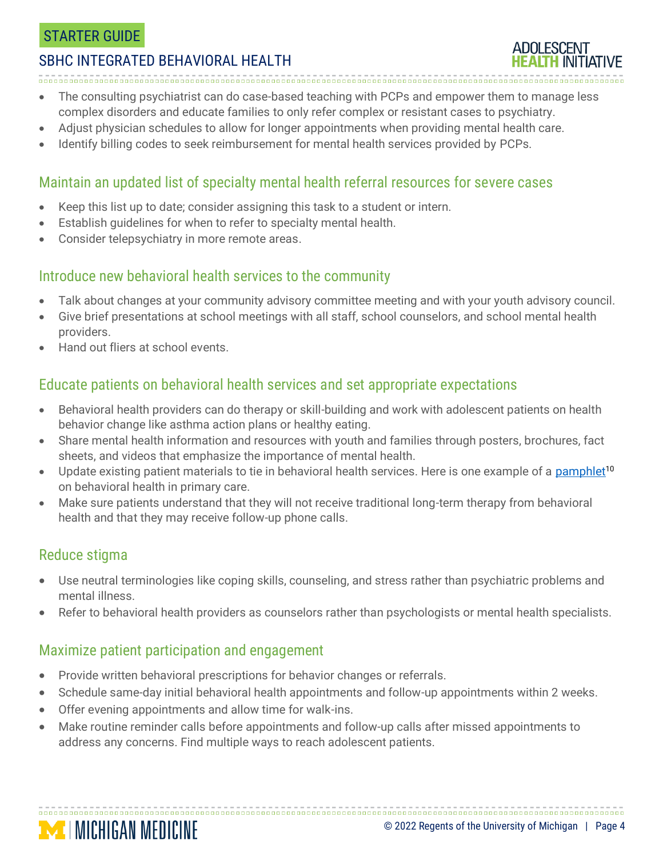#### STARTER GUIDE

#### SBHC INTEGRATED BEHAVIORAL HEALTH

**ATIVF** 

- The consulting psychiatrist can do case-based teaching with PCPs and empower them to manage less
- complex disorders and educate families to only refer complex or resistant cases to psychiatry.
- Adjust physician schedules to allow for longer appointments when providing mental health care.
- Identify billing codes to seek reimbursement for mental health services provided by PCPs.

# Maintain an updated list of specialty mental health referral resources for severe cases

- Keep this list up to date; consider assigning this task to a student or intern.
- Establish guidelines for when to refer to specialty mental health.
- Consider telepsychiatry in more remote areas.

# Introduce new behavioral health services to the community

- Talk about changes at your community advisory committee meeting and with your youth advisory council.
- Give brief presentations at school meetings with all staff, school counselors, and school mental health providers.
- Hand out fliers at school events.

# Educate patients on behavioral health services and set appropriate expectations

- Behavioral health providers can do therapy or skill-building and work with adolescent patients on health behavior change like asthma action plans or healthy eating.
- Share mental health information and resources with youth and families through posters, brochures, fact sheets, and videos that emphasize the importance of mental health.
- Update existing patient materials to tie in behavioral health services. Here is one example of a [pamphlet](http://www.mirecc.va.gov/cih-visn2/Documents/Clinical/Integrated_Behavioral_Health_Pamphlet.pdf)<sup>10</sup> on behavioral health in primary care.
- Make sure patients understand that they will not receive traditional long-term therapy from behavioral health and that they may receive follow-up phone calls.

# Reduce stigma

**MINICHIGAN MEDICINE** 

- Use neutral terminologies like coping skills, counseling, and stress rather than psychiatric problems and mental illness.
- Refer to behavioral health providers as counselors rather than psychologists or mental health specialists.

# Maximize patient participation and engagement

- Provide written behavioral prescriptions for behavior changes or referrals.
- Schedule same-day initial behavioral health appointments and follow-up appointments within 2 weeks.
- Offer evening appointments and allow time for walk-ins.
- Make routine reminder calls before appointments and follow-up calls after missed appointments to address any concerns. Find multiple ways to reach adolescent patients.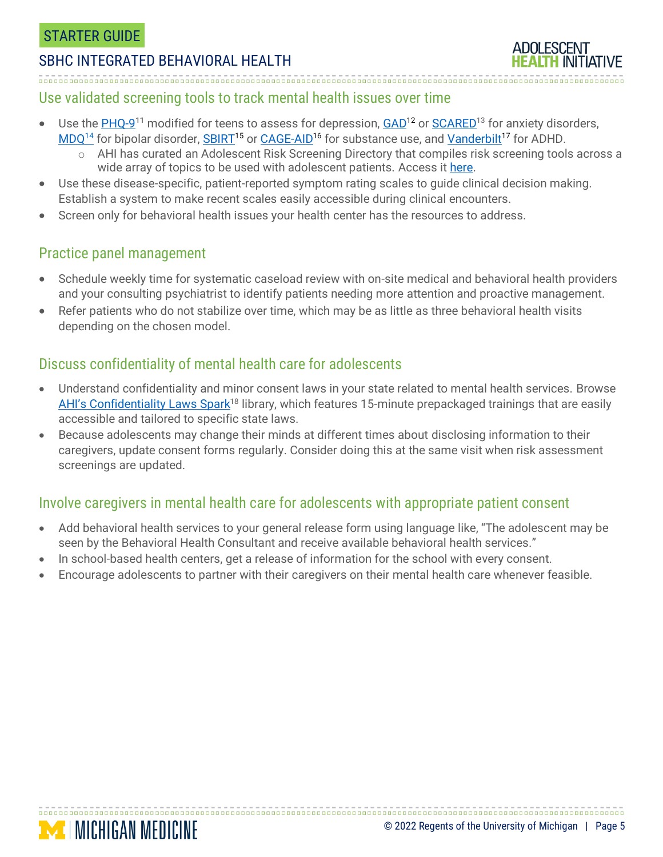# SBHC INTEGRATED BEHAVIORAL HEALTH

# **ADOLESCENT**

#### Use validated screening tools to track mental health issues over time

- Use the **PHQ-9<sup>11</sup>** modified for teens to assess for depression, [GAD](https://med.dartmouth-hitchcock.org/documents/GAD-7-anxiety-screen.pdf)<sup>12</sup> or [SCARED](https://www.pediatricbipolar.pitt.edu/resources/instruments)<sup>13</sup> for anxiety disorders, [MDQ](https://www.ohsu.edu/sites/default/files/2019-06/cms-quality-bipolar_disorder_mdq_screener.pdf)<sup>14</sup> for bipolar disorder, [SBIRT](http://www.samhsa.gov/sbirt/resources)<sup>15</sup> or [CAGE-AID](http://www.hopkinsmedicine.org/johns_hopkins_healthcare/downloads/CAGE%20Substance%20Screening%20Tool.pdf)<sup>16</sup> for substance use, and [Vanderbilt](http://www.childrenshospital.vanderbilt.org/uploads/documents/DIAGNOSTIC_PARENT_RATING_SCALE(1).pdf)<sup>17</sup> for ADHD.
	- o AHI has curated an Adolescent Risk Screening Directory that compiles risk screening tools across a wide array of topics to be used with adolescent patients. Access it [here.](https://docs.google.com/spreadsheets/d/1xzQAUb-SkqXCDYyfBbihd7MmV1PEGdTubx1hqyz5N1U/edit?usp=sharing)
- Use these disease-specific, patient-reported symptom rating scales to guide clinical decision making. Establish a system to make recent scales easily accessible during clinical encounters.
- Screen only for behavioral health issues your health center has the resources to address.

#### Practice panel management

**MICHIGAN MEDICINE** 

- Schedule weekly time for systematic caseload review with on-site medical and behavioral health providers and your consulting psychiatrist to identify patients needing more attention and proactive management.
- Refer patients who do not stabilize over time, which may be as little as three behavioral health visits depending on the chosen model.

#### Discuss confidentiality of mental health care for adolescents

- Understand confidentiality and minor consent laws in your state related to mental health services. Browse [AHI's Confidentiality Law](https://www.umhs-adolescenthealth.org/improving-care/spark-trainings/confidentiality-laws/)s Spark<sup>18</sup> library, which features 15-minute prepackaged trainings that are easily accessible and tailored to specific state laws.
- Because adolescents may change their minds at different times about disclosing information to their caregivers, update consent forms regularly. Consider doing this at the same visit when risk assessment screenings are updated.

#### Involve caregivers in mental health care for adolescents with appropriate patient consent

- Add behavioral health services to your general release form using language like, "The adolescent may be seen by the Behavioral Health Consultant and receive available behavioral health services."
- In school-based health centers, get a release of information for the school with every consent.
- Encourage adolescents to partner with their caregivers on their mental health care whenever feasible.